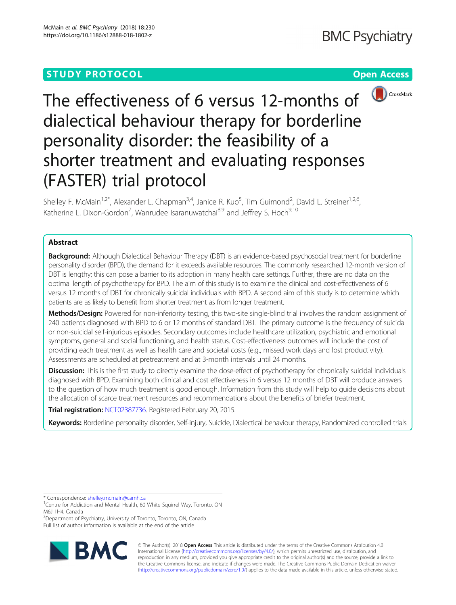

# The effectiveness of 6 versus 12-months of dialectical behaviour therapy for borderline personality disorder: the feasibility of a shorter treatment and evaluating responses (FASTER) trial protocol

Shelley F. McMain<sup>1,2\*</sup>, Alexander L. Chapman<sup>3,4</sup>, Janice R. Kuo<sup>5</sup>, Tim Guimond<sup>2</sup>, David L. Streiner<sup>1,2,6</sup>, Katherine L. Dixon-Gordon<sup>7</sup>, Wanrudee Isaranuwatchai<sup>8,9</sup> and Jeffrey S. Hoch<sup>9,10</sup>

## Abstract

**Background:** Although Dialectical Behaviour Therapy (DBT) is an evidence-based psychosocial treatment for borderline personality disorder (BPD), the demand for it exceeds available resources. The commonly researched 12-month version of DBT is lengthy; this can pose a barrier to its adoption in many health care settings. Further, there are no data on the optimal length of psychotherapy for BPD. The aim of this study is to examine the clinical and cost-effectiveness of 6 versus 12 months of DBT for chronically suicidal individuals with BPD. A second aim of this study is to determine which patients are as likely to benefit from shorter treatment as from longer treatment.

Methods/Design: Powered for non-inferiority testing, this two-site single-blind trial involves the random assignment of 240 patients diagnosed with BPD to 6 or 12 months of standard DBT. The primary outcome is the frequency of suicidal or non-suicidal self-injurious episodes. Secondary outcomes include healthcare utilization, psychiatric and emotional symptoms, general and social functioning, and health status. Cost-effectiveness outcomes will include the cost of providing each treatment as well as health care and societal costs (e.g., missed work days and lost productivity). Assessments are scheduled at pretreatment and at 3-month intervals until 24 months.

Discussion: This is the first study to directly examine the dose-effect of psychotherapy for chronically suicidal individuals diagnosed with BPD. Examining both clinical and cost effectiveness in 6 versus 12 months of DBT will produce answers to the question of how much treatment is good enough. Information from this study will help to guide decisions about the allocation of scarce treatment resources and recommendations about the benefits of briefer treatment.

Trial registration: [NCT02387736](https://clinicaltrials.gov/ct2/show/NCT02387736). Registered February 20, 2015.

Keywords: Borderline personality disorder, Self-injury, Suicide, Dialectical behaviour therapy, Randomized controlled trials

\* Correspondence: [shelley.mcmain@camh.ca](mailto:shelley.mcmain@camh.ca) <sup>1</sup>

<sup>2</sup> Department of Psychiatry, University of Toronto, Toronto, ON, Canada Full list of author information is available at the end of the article



© The Author(s). 2018 Open Access This article is distributed under the terms of the Creative Commons Attribution 4.0 International License [\(http://creativecommons.org/licenses/by/4.0/](http://creativecommons.org/licenses/by/4.0/)), which permits unrestricted use, distribution, and reproduction in any medium, provided you give appropriate credit to the original author(s) and the source, provide a link to the Creative Commons license, and indicate if changes were made. The Creative Commons Public Domain Dedication waiver [\(http://creativecommons.org/publicdomain/zero/1.0/](http://creativecommons.org/publicdomain/zero/1.0/)) applies to the data made available in this article, unless otherwise stated.

<sup>&</sup>lt;sup>1</sup> Centre for Addiction and Mental Health, 60 White Squirrel Way, Toronto, ON M6J 1H4, Canada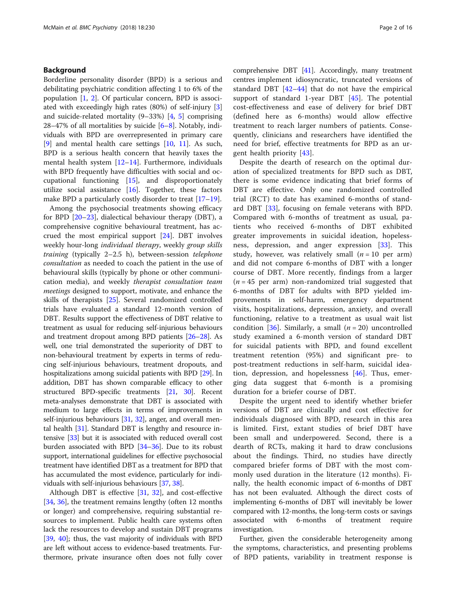#### Background

Borderline personality disorder (BPD) is a serious and debilitating psychiatric condition affecting 1 to 6% of the population  $[1, 2]$  $[1, 2]$  $[1, 2]$  $[1, 2]$ . Of particular concern, BPD is associated with exceedingly high rates (80%) of self-injury [\[3](#page-13-0)] and suicide-related mortality (9–33%) [[4,](#page-13-0) [5\]](#page-13-0) comprising 2[8](#page-13-0)–47% of all mortalities by suicide  $[6-8]$  $[6-8]$  $[6-8]$ . Notably, individuals with BPD are overrepresented in primary care [[9\]](#page-13-0) and mental health care settings [[10,](#page-13-0) [11\]](#page-13-0). As such, BPD is a serious health concern that heavily taxes the mental health system [\[12](#page-13-0)–[14\]](#page-13-0). Furthermore, individuals with BPD frequently have difficulties with social and occupational functioning [\[15](#page-13-0)], and disproportionately utilize social assistance [[16\]](#page-13-0). Together, these factors make BPD a particularly costly disorder to treat [[17](#page-13-0)–[19](#page-13-0)].

Among the psychosocial treatments showing efficacy for BPD [\[20](#page-13-0)–[23\]](#page-13-0), dialectical behaviour therapy (DBT), a comprehensive cognitive behavioural treatment, has accrued the most empirical support [\[24](#page-13-0)]. DBT involves weekly hour-long individual therapy, weekly group skills training (typically 2-2.5 h), between-session telephone consultation as needed to coach the patient in the use of behavioural skills (typically by phone or other communication media), and weekly therapist consultation team meetings designed to support, motivate, and enhance the skills of therapists [[25\]](#page-13-0). Several randomized controlled trials have evaluated a standard 12-month version of DBT. Results support the effectiveness of DBT relative to treatment as usual for reducing self-injurious behaviours and treatment dropout among BPD patients [[26](#page-13-0)–[28\]](#page-13-0). As well, one trial demonstrated the superiority of DBT to non-behavioural treatment by experts in terms of reducing self-injurious behaviours, treatment dropouts, and hospitalizations among suicidal patients with BPD [\[29\]](#page-13-0). In addition, DBT has shown comparable efficacy to other structured BPD-specific treatments [\[21,](#page-13-0) [30\]](#page-13-0). Recent meta-analyses demonstrate that DBT is associated with medium to large effects in terms of improvements in self-injurious behaviours [[31](#page-13-0), [32](#page-13-0)], anger, and overall mental health [\[31\]](#page-13-0). Standard DBT is lengthy and resource intensive [\[33\]](#page-13-0) but it is associated with reduced overall cost burden associated with BPD [[34](#page-13-0)–[36\]](#page-13-0). Due to its robust support, international guidelines for effective psychosocial treatment have identified DBT as a treatment for BPD that has accumulated the most evidence, particularly for individuals with self-injurious behaviours [[37,](#page-13-0) [38\]](#page-13-0).

Although DBT is effective [\[31](#page-13-0), [32](#page-13-0)], and cost-effective [[34,](#page-13-0) [36\]](#page-13-0), the treatment remains lengthy (often 12 months) or longer) and comprehensive, requiring substantial resources to implement. Public health care systems often lack the resources to develop and sustain DBT programs [[39,](#page-13-0) [40](#page-13-0)]; thus, the vast majority of individuals with BPD are left without access to evidence-based treatments. Furthermore, private insurance often does not fully cover comprehensive DBT [\[41\]](#page-13-0). Accordingly, many treatment centres implement idiosyncratic, truncated versions of standard DBT [\[42](#page-13-0)–[44](#page-14-0)] that do not have the empirical support of standard 1-year DBT  $[45]$  $[45]$ . The potential cost-effectiveness and ease of delivery for brief DBT (defined here as 6-months) would allow effective treatment to reach larger numbers of patients. Consequently, clinicians and researchers have identified the need for brief, effective treatments for BPD as an urgent health priority [[43\]](#page-13-0).

Despite the dearth of research on the optimal duration of specialized treatments for BPD such as DBT, there is some evidence indicating that brief forms of DBT are effective. Only one randomized controlled trial (RCT) to date has examined 6-months of standard DBT [\[33](#page-13-0)], focusing on female veterans with BPD. Compared with 6-months of treatment as usual, patients who received 6-months of DBT exhibited greater improvements in suicidal ideation, hopelessness, depression, and anger expression [[33\]](#page-13-0). This study, however, was relatively small  $(n = 10$  per arm) and did not compare 6-months of DBT with a longer course of DBT. More recently, findings from a larger  $(n = 45$  per arm) non-randomized trial suggested that 6-months of DBT for adults with BPD yielded improvements in self-harm, emergency department visits, hospitalizations, depression, anxiety, and overall functioning, relative to a treatment as usual wait list condition [[36\]](#page-13-0). Similarly, a small  $(n = 20)$  uncontrolled study examined a 6-month version of standard DBT for suicidal patients with BPD, and found excellent treatment retention (95%) and significant pre- to post-treatment reductions in self-harm, suicidal ideation, depression, and hopelessness [[46\]](#page-14-0). Thus, emerging data suggest that 6-month is a promising duration for a briefer course of DBT.

Despite the urgent need to identify whether briefer versions of DBT are clinically and cost effective for individuals diagnosed with BPD, research in this area is limited. First, extant studies of brief DBT have been small and underpowered. Second, there is a dearth of RCTs, making it hard to draw conclusions about the findings. Third, no studies have directly compared briefer forms of DBT with the most commonly used duration in the literature (12 months). Finally, the health economic impact of 6-months of DBT has not been evaluated. Although the direct costs of implementing 6-months of DBT will inevitably be lower compared with 12-months, the long-term costs or savings associated with 6-months of treatment require investigation.

Further, given the considerable heterogeneity among the symptoms, characteristics, and presenting problems of BPD patients, variability in treatment response is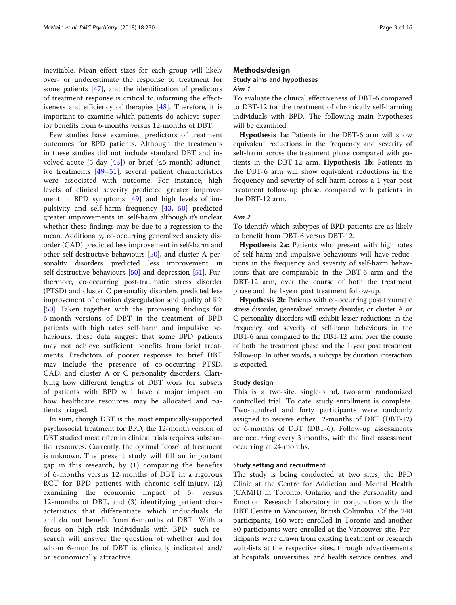inevitable. Mean effect sizes for each group will likely over- or underestimate the response to treatment for some patients [\[47](#page-14-0)], and the identification of predictors of treatment response is critical to informing the effectiveness and efficiency of therapies [\[48\]](#page-14-0). Therefore, it is important to examine which patients do achieve superior benefits from 6-months versus 12-months of DBT.

Few studies have examined predictors of treatment outcomes for BPD patients. Although the treatments in these studies did not include standard DBT and in-volved acute (5-day [\[43](#page-13-0)]) or brief ( $\leq$ 5-month) adjunctive treatments [[49](#page-14-0)–[51\]](#page-14-0), several patient characteristics were associated with outcome. For instance, high levels of clinical severity predicted greater improvement in BPD symptoms [[49\]](#page-14-0) and high levels of impulsivity and self-harm frequency [\[43](#page-13-0), [50](#page-14-0)] predicted greater improvements in self-harm although it's unclear whether these findings may be due to a regression to the mean. Additionally, co-occurring generalized anxiety disorder (GAD) predicted less improvement in self-harm and other self-destructive behaviours [[50\]](#page-14-0), and cluster A personality disorders predicted less improvement in self-destructive behaviours [[50](#page-14-0)] and depression [[51\]](#page-14-0). Furthermore, co-occurring post-traumatic stress disorder (PTSD) and cluster C personality disorders predicted less improvement of emotion dysregulation and quality of life [[50](#page-14-0)]. Taken together with the promising findings for 6-month versions of DBT in the treatment of BPD patients with high rates self-harm and impulsive behaviours, these data suggest that some BPD patients may not achieve sufficient benefits from brief treatments. Predictors of poorer response to brief DBT may include the presence of co-occurring PTSD, GAD, and cluster A or C personality disorders. Clarifying how different lengths of DBT work for subsets of patients with BPD will have a major impact on how healthcare resources may be allocated and patients triaged.

In sum, though DBT is the most empirically-supported psychosocial treatment for BPD, the 12-month version of DBT studied most often in clinical trials requires substantial resources. Currently, the optimal "dose" of treatment is unknown. The present study will fill an important gap in this research, by (1) comparing the benefits of 6-months versus 12-months of DBT in a rigorous RCT for BPD patients with chronic self-injury, (2) examining the economic impact of 6- versus 12-months of DBT, and (3) identifying patient characteristics that differentiate which individuals do and do not benefit from 6-months of DBT. With a focus on high risk individuals with BPD, such research will answer the question of whether and for whom 6-months of DBT is clinically indicated and/ or economically attractive.

#### Methods/design

# Study aims and hypotheses

## Aim 1

To evaluate the clinical effectiveness of DBT-6 compared to DBT-12 for the treatment of chronically self-harming individuals with BPD. The following main hypotheses will be examined:

Hypothesis 1a: Patients in the DBT-6 arm will show equivalent reductions in the frequency and severity of self-harm across the treatment phase compared with patients in the DBT-12 arm. Hypothesis 1b: Patients in the DBT-6 arm will show equivalent reductions in the frequency and severity of self-harm across a 1-year post treatment follow-up phase, compared with patients in the DBT-12 arm.

#### Aim 2

To identify which subtypes of BPD patients are as likely to benefit from DBT-6 versus DBT-12.

Hypothesis 2a: Patients who present with high rates of self-harm and impulsive behaviours will have reductions in the frequency and severity of self-harm behaviours that are comparable in the DBT-6 arm and the DBT-12 arm, over the course of both the treatment phase and the 1-year post treatment follow-up.

Hypothesis 2b: Patients with co-occurring post-traumatic stress disorder, generalized anxiety disorder, or cluster A or C personality disorders will exhibit lesser reductions in the frequency and severity of self-harm behaviours in the DBT-6 arm compared to the DBT-12 arm, over the course of both the treatment phase and the 1-year post treatment follow-up. In other words, a subtype by duration interaction is expected.

#### Study design

This is a two-site, single-blind, two-arm randomized controlled trial. To date, study enrollment is complete. Two-hundred and forty participants were randomly assigned to receive either 12-months of DBT (DBT-12) or 6-months of DBT (DBT-6). Follow-up assessments are occurring every 3 months, with the final assessment occurring at 24-months.

#### Study setting and recruitment

The study is being conducted at two sites, the BPD Clinic at the Centre for Addiction and Mental Health (CAMH) in Toronto, Ontario, and the Personality and Emotion Research Laboratory in conjunction with the DBT Centre in Vancouver, British Columbia. Of the 240 participants, 160 were enrolled in Toronto and another 80 participants were enrolled at the Vancouver site. Participants were drawn from existing treatment or research wait-lists at the respective sites, through advertisements at hospitals, universities, and health service centres, and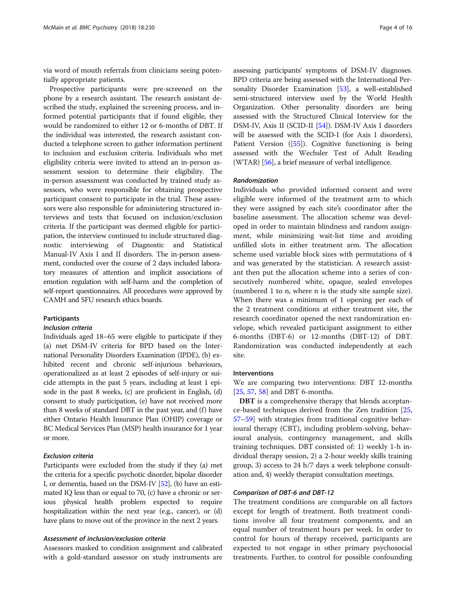via word of mouth referrals from clinicians seeing potentially appropriate patients.

Prospective participants were pre-screened on the phone by a research assistant. The research assistant described the study, explained the screening process, and informed potential participants that if found eligible, they would be randomized to either 12 or 6-months of DBT. If the individual was interested, the research assistant conducted a telephone screen to gather information pertinent to inclusion and exclusion criteria. Individuals who met eligibility criteria were invited to attend an in-person assessment session to determine their eligibility. The in-person assessment was conducted by trained study assessors, who were responsible for obtaining prospective participant consent to participate in the trial. These assessors were also responsible for administering structured interviews and tests that focused on inclusion/exclusion criteria. If the participant was deemed eligible for participation, the interview continued to include structured diagnostic interviewing of Diagnostic and Statistical Manual-IV Axis I and II disorders. The in-person assessment, conducted over the course of 2 days included laboratory measures of attention and implicit associations of emotion regulation with self-harm and the completion of self-report questionnaires. All procedures were approved by CAMH and SFU research ethics boards.

#### **Participants**

#### Inclusion criteria

Individuals aged 18–65 were eligible to participate if they (a) met DSM-IV criteria for BPD based on the International Personality Disorders Examination (IPDE), (b) exhibited recent and chronic self-injurious behaviours, operationalized as at least 2 episodes of self-injury or suicide attempts in the past 5 years, including at least 1 episode in the past 8 weeks, (c) are proficient in English, (d) consent to study participation, (e) have not received more than 8 weeks of standard DBT in the past year, and (f) have either Ontario Health Insurance Plan (OHIP) coverage or BC Medical Services Plan (MSP) health insurance for 1 year or more.

#### Exclusion criteria

Participants were excluded from the study if they (a) met the criteria for a specific psychotic disorder, bipolar disorder I, or dementia, based on the DSM-IV [[52](#page-14-0)], (b) have an estimated IQ less than or equal to 70, (c) have a chronic or serious physical health problem expected to require hospitalization within the next year (e.g., cancer), or (d) have plans to move out of the province in the next 2 years.

#### Assessment of inclusion/exclusion criteria

Assessors masked to condition assignment and calibrated with a gold-standard assessor on study instruments are

assessing participants' symptoms of DSM-IV diagnoses. BPD criteria are being assessed with the International Personality Disorder Examination [\[53\]](#page-14-0), a well-established semi-structured interview used by the World Health Organization. Other personality disorders are being assessed with the Structured Clinical Interview for the DSM-IV, Axis II (SCID-II [[54](#page-14-0)]). DSM-IV Axis I disorders will be assessed with the SCID-I (for Axis I disorders), Patient Version ([[55](#page-14-0)]). Cognitive functioning is being assessed with the Wechsler Test of Adult Reading (WTAR) [\[56\]](#page-14-0), a brief measure of verbal intelligence.

#### Randomization

Individuals who provided informed consent and were eligible were informed of the treatment arm to which they were assigned by each site's coordinator after the baseline assessment. The allocation scheme was developed in order to maintain blindness and random assignment, while minimizing wait-list time and avoiding unfilled slots in either treatment arm. The allocation scheme used variable block sizes with permutations of 4 and was generated by the statistician. A research assistant then put the allocation scheme into a series of consecutively numbered white, opaque, sealed envelopes (numbered 1 to n, where n is the study site sample size). When there was a minimum of 1 opening per each of the 2 treatment conditions at either treatment site, the research coordinator opened the next randomization envelope, which revealed participant assignment to either 6-months (DBT-6) or 12-months (DBT-12) of DBT. Randomization was conducted independently at each site.

#### Interventions

We are comparing two interventions: DBT 12-months [[25,](#page-13-0) [57,](#page-14-0) [58\]](#page-14-0) and DBT 6-months.

DBT is a comprehensive therapy that blends acceptance-based techniques derived from the Zen tradition [[25](#page-13-0), [57](#page-14-0)–[59](#page-14-0)] with strategies from traditional cognitive behavioural therapy (CBT), including problem-solving, behavioural analysis, contingency management, and skills training techniques. DBT consisted of: 1) weekly 1-h individual therapy session, 2) a 2-hour weekly skills training group, 3) access to 24 h/7 days a week telephone consultation and, 4) weekly therapist consultation meetings.

#### Comparison of DBT-6 and DBT-12

The treatment conditions are comparable on all factors except for length of treatment. Both treatment conditions involve all four treatment components, and an equal number of treatment hours per week. In order to control for hours of therapy received, participants are expected to not engage in other primary psychosocial treatments. Further, to control for possible confounding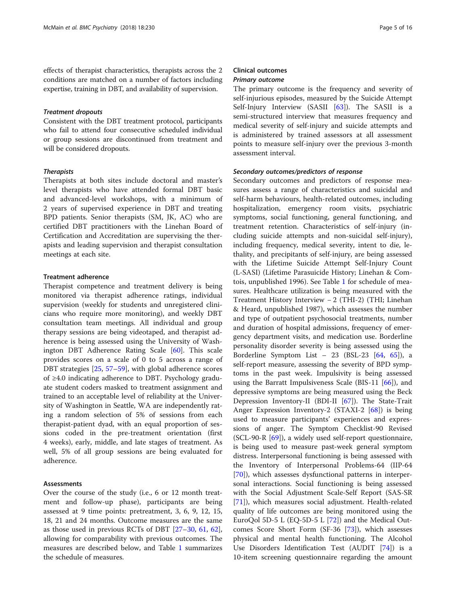effects of therapist characteristics, therapists across the 2 conditions are matched on a number of factors including expertise, training in DBT, and availability of supervision.

#### Treatment dropouts

Consistent with the DBT treatment protocol, participants who fail to attend four consecutive scheduled individual or group sessions are discontinued from treatment and will be considered dropouts.

#### **Therapists**

Therapists at both sites include doctoral and master's level therapists who have attended formal DBT basic and advanced-level workshops, with a minimum of 2 years of supervised experience in DBT and treating BPD patients. Senior therapists (SM, JK, AC) who are certified DBT practitioners with the Linehan Board of Certification and Accreditation are supervising the therapists and leading supervision and therapist consultation meetings at each site.

#### Treatment adherence

Therapist competence and treatment delivery is being monitored via therapist adherence ratings, individual supervision (weekly for students and unregistered clinicians who require more monitoring), and weekly DBT consultation team meetings. All individual and group therapy sessions are being videotaped, and therapist adherence is being assessed using the University of Washington DBT Adherence Rating Scale [\[60\]](#page-14-0). This scale provides scores on a scale of 0 to 5 across a range of DBT strategies [[25,](#page-13-0) [57](#page-14-0)–[59\]](#page-14-0), with global adherence scores of ≥4.0 indicating adherence to DBT. Psychology graduate student coders masked to treatment assignment and trained to an acceptable level of reliability at the University of Washington in Seattle, WA are independently rating a random selection of 5% of sessions from each therapist-patient dyad, with an equal proportion of sessions coded in the pre-treatment orientation (first 4 weeks), early, middle, and late stages of treatment. As well, 5% of all group sessions are being evaluated for adherence.

#### Assessments

Over the course of the study (i.e., 6 or 12 month treatment and follow-up phase), participants are being assessed at 9 time points: pretreatment, 3, 6, 9, 12, 15, 18, 21 and 24 months. Outcome measures are the same as those used in previous RCTs of DBT [[27](#page-13-0)–[30](#page-13-0), [61,](#page-14-0) [62](#page-14-0)], allowing for comparability with previous outcomes. The measures are described below, and Table [1](#page-5-0) summarizes the schedule of measures.

### Clinical outcomes Primary outcome

The primary outcome is the frequency and severity of self-injurious episodes, measured by the Suicide Attempt Self-Injury Interview (SASII [\[63\]](#page-14-0)). The SASII is a semi-structured interview that measures frequency and medical severity of self-injury and suicide attempts and is administered by trained assessors at all assessment points to measure self-injury over the previous 3-month assessment interval.

#### Secondary outcomes/predictors of response

Secondary outcomes and predictors of response measures assess a range of characteristics and suicidal and self-harm behaviours, health-related outcomes, including hospitalization, emergency room visits, psychiatric symptoms, social functioning, general functioning, and treatment retention. Characteristics of self-injury (including suicide attempts and non-suicidal self-injury), including frequency, medical severity, intent to die, lethality, and precipitants of self-injury, are being assessed with the Lifetime Suicide Attempt Self-Injury Count (L-SASI) (Lifetime Parasuicide History; Linehan & Comtois, unpublished 1996). See Table [1](#page-5-0) for schedule of measures. Healthcare utilization is being measured with the Treatment History Interview − 2 (THI-2) (THI; Linehan & Heard, unpublished 1987), which assesses the number and type of outpatient psychosocial treatments, number and duration of hospital admissions, frequency of emergency department visits, and medication use. Borderline personality disorder severity is being assessed using the Borderline Symptom List – 23 (BSL-23 [\[64](#page-14-0), [65](#page-14-0)]), a self-report measure, assessing the severity of BPD symptoms in the past week. Impulsivity is being assessed using the Barratt Impulsiveness Scale (BIS-11 [[66](#page-14-0)]), and depressive symptoms are being measured using the Beck Depression Inventory-II (BDI-II [\[67](#page-14-0)]). The State-Trait Anger Expression Inventory-2 (STAXI-2 [\[68](#page-14-0)]) is being used to measure participants' experiences and expressions of anger. The Symptom Checklist-90 Revised (SCL-90-R [[69](#page-14-0)]), a widely used self-report questionnaire, is being used to measure past-week general symptom distress. Interpersonal functioning is being assessed with the Inventory of Interpersonal Problems-64 (IIP-64 [[70\]](#page-14-0)), which assesses dysfunctional patterns in interpersonal interactions. Social functioning is being assessed with the Social Adjustment Scale-Self Report (SAS-SR [[71\]](#page-14-0)), which measures social adjustment. Health-related quality of life outcomes are being monitored using the EuroQol 5D-5 L (EQ-5D-5 L [\[72\]](#page-14-0)) and the Medical Outcomes Score Short Form (SF-36 [\[73](#page-14-0)]), which assesses physical and mental health functioning. The Alcohol Use Disorders Identification Test (AUDIT [\[74](#page-14-0)]) is a 10-item screening questionnaire regarding the amount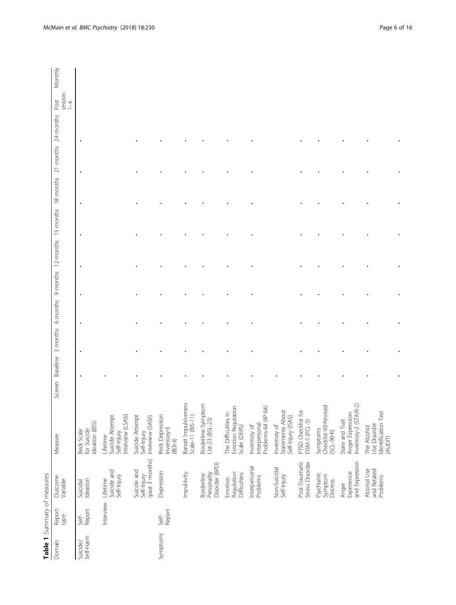<span id="page-5-0"></span>

| Table 1 Summary of measures |                 |                                               |                                                                                          |        |          |          |          |           |           |           |           |                        |                                       |  |
|-----------------------------|-----------------|-----------------------------------------------|------------------------------------------------------------------------------------------|--------|----------|----------|----------|-----------|-----------|-----------|-----------|------------------------|---------------------------------------|--|
| Domain                      | Report<br>type  | Outcome<br>Variable                           | Measure                                                                                  | Screen | Baseline | 3 months | 6 months | 9 months  | 12 months | 15 months | 18 months | 24 months<br>21 months | Monthly<br>session<br>Post<br>$1 - 4$ |  |
| Self-Harm<br>Suicide/       | Report<br>Self- | Ideation<br>Suicidal                          | Ideation (BSS)<br>for Suicide<br>Beck Scale                                              |        |          |          | ٠<br>٠   | $\bullet$ | ٠         | ٠         | ٠         | ٠                      |                                       |  |
|                             | Interview       | Suicide and<br>Self-Injury<br>Lifetime        | Interview (LSASI)<br>Suicide Attempt<br>Self-Injury<br>Lifetime                          |        |          |          |          |           |           |           |           |                        |                                       |  |
|                             |                 | Self-Injury<br>(past 3 months)<br>Suicide and | Suicide Attempt<br>Interview (SASII)<br>Self-Injury                                      |        |          |          |          |           |           |           |           |                        |                                       |  |
| Symptoms                    | Report<br>Self- | Depression                                    | <b>Beck Depression</b><br>Inventory-II<br>$(BD+1)$                                       |        |          |          |          |           |           |           |           |                        |                                       |  |
|                             |                 | Impulsivity                                   | Barratt Impulsiveness<br>Scale-11 (BIS-11)                                               |        |          |          |          |           |           |           |           |                        |                                       |  |
|                             |                 | Disorder (BPD)<br>Personality<br>Borderline   | Borderline Symptom<br>List-23 (BSL-23)                                                   |        |          |          |          |           |           |           |           |                        |                                       |  |
|                             |                 | Regulation<br>Difficulties<br>Emotion         | Emotion Regulation<br>The Difficulties in<br>Scale (DERS)                                |        |          |          |          |           |           |           |           |                        |                                       |  |
|                             |                 | Interpersonal<br>Problems                     | Problems-64 (IIP-64)<br>Interpersonal<br>Inventory of                                    |        |          |          |          |           |           |           |           |                        |                                       |  |
|                             |                 | Non-Suicidal<br>Self-Injury                   | Statements About<br>Self-Injury (ISAS)<br>Inventory of                                   |        |          |          |          |           |           |           |           |                        |                                       |  |
|                             |                 | Post-Traumatic<br>Stress Disorder             | PTSD Checklist for<br>DSM-5 (PCL-5)                                                      |        |          |          |          |           |           |           |           |                        |                                       |  |
|                             |                 | Psychiatric<br>Symptom<br><b>Distress</b>     | Symptoms<br>Checklist-90-Revised<br>$(SCL-90-R)$                                         |        |          |          |          |           |           |           |           |                        |                                       |  |
|                             |                 | and Expression<br>Experience<br>Anger         | $\left\vert -2\right\rangle$<br>Inventory-2 (STAX<br>Anger Expression<br>State and Trait |        |          |          |          |           |           |           |           |                        |                                       |  |
|                             |                 | Alcohol Use<br>and Related<br>Problems        | Identification Test<br>Use Disorder<br>The Alcohol<br>(AUDIT)                            |        |          |          |          |           |           |           |           |                        |                                       |  |
|                             |                 |                                               |                                                                                          |        |          |          |          |           |           |           |           |                        |                                       |  |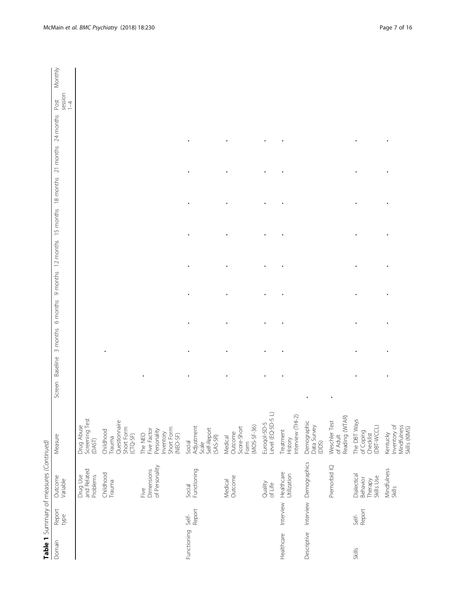|             |                 | Table 1 Summary of measures (Continued)          |                                                                              |                    |                   |           |                               |  |                     |                            |         |
|-------------|-----------------|--------------------------------------------------|------------------------------------------------------------------------------|--------------------|-------------------|-----------|-------------------------------|--|---------------------|----------------------------|---------|
| Domain      | Report<br>type  | Outcome<br>Variable                              | Measure                                                                      | Baseline<br>Screen | 3 months 6 months | 9 months  | 12 months 15 months 18 months |  | 21 months 24 months | session<br>Post<br>$1 - 4$ | Monthly |
|             |                 | and Related<br>Problems<br>Drug Use              | Screening Test<br>Drug Abuse<br>(DAST)                                       |                    |                   |           |                               |  |                     |                            |         |
|             |                 | Childhood<br>Trauma                              | Questionnaire<br>Short Form<br>Childhood<br>$(TQ-SF)$<br>Trauma              |                    |                   |           |                               |  |                     |                            |         |
|             |                 | of Personality<br>Dimensions<br>i<br>Ne          | Inventory<br>Short Form<br>(NEO-SF)<br>Five Factor<br>Personality<br>The NEO |                    |                   |           |                               |  |                     |                            |         |
| Functioning | Self-<br>Report | Functioning<br>Social                            | Adjustment<br>Self-Report<br>$(SAS-SR)$<br>Social<br>Scale                   |                    |                   |           |                               |  |                     |                            |         |
|             |                 | Outcome<br>Medical                               | $(MOS-5F-36)$<br>Score-Short<br>Outcome<br>Medical<br>Form                   |                    |                   |           |                               |  |                     |                            |         |
|             |                 | Quality<br>of Life                               | Level (EQ-5D-5 L)<br>Euroqol-5D-5                                            |                    |                   |           |                               |  |                     |                            |         |
| Healthcare  | Interview       | Healthcare<br>Utilization                        | Interview (THI-2)<br>Treatment<br>History                                    |                    |                   |           |                               |  |                     |                            |         |
| Descriptive | Interview       | Demographics                                     | Demographic<br>Data Survey<br>(DDS)                                          |                    |                   |           |                               |  |                     |                            |         |
|             |                 | Premorbid IQ                                     | Reading (WTAR)<br>Weschler Test<br>of Adult                                  |                    |                   |           |                               |  |                     |                            |         |
| Skills      | Report<br>Self- | Dialectical<br>Therapy<br>Skills Use<br>Behavior | The DBT Ways<br>Checklist<br>(DBT-WCCL)<br>of Coping                         |                    |                   |           |                               |  |                     |                            |         |
|             |                 | Mindfulness<br>Skills                            | Inventory of<br>Mindfulness<br>Skills (KIMS)<br>Kentucky                     |                    |                   | $\bullet$ | ٠                             |  |                     |                            |         |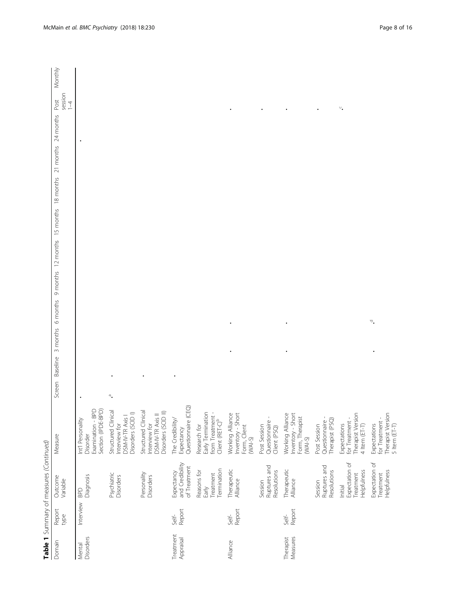|                        |                 | Table 1 Summary of measures (Continued)               |                                                                                      |                 |                                                             |  |                     |                            |         |
|------------------------|-----------------|-------------------------------------------------------|--------------------------------------------------------------------------------------|-----------------|-------------------------------------------------------------|--|---------------------|----------------------------|---------|
| Domain                 | Report<br>type  | Outcome<br>Variable                                   | Measure                                                                              | Screen Baseline | 6 months 9 months 12 months 15 months 18 months<br>3 months |  | 21 months 24 months | session<br>Post<br>$1 - 4$ | Monthly |
| Disorders<br>Mental    | Interview       | Diagnosis<br>BPD                                      | Section (IPDE-BPD)<br>Examination - BPD<br>Int'l Personality<br>Disorder             |                 |                                                             |  | $\bullet$           |                            |         |
|                        |                 | Psychiatric<br>Disorders                              | Structured Clinical<br>Disorders (SCID I)<br>DSM-IV-TR Axis I<br>Interview for       | ∾.              |                                                             |  |                     |                            |         |
|                        |                 | Personality<br>Disorders                              | Structured Clinical<br>Disorders (SCID II)<br>DSM-IV-TR Axis II<br>Interview for     |                 |                                                             |  |                     |                            |         |
| Treatment<br>Appraisal | Report<br>Self- | and Credibility<br>of Treatment<br>Expectancy         | Questionnaire (CEQ)<br>The Credibility/<br>Expectancy                                |                 |                                                             |  |                     |                            |         |
|                        |                 | Termination<br>Reasons for<br>Treatment<br>Early      | Early Termination<br>from Treatment -<br>Client (RET-C) <sup>b</sup><br>Research for |                 |                                                             |  |                     |                            |         |
| Alliance               | Report<br>Self- | Therapeutic<br>Alliance                               | Inventory - Short<br>Working Alliance<br>Form, Client<br>$(WAI-S)$                   |                 |                                                             |  |                     |                            |         |
|                        |                 | Ruptures and<br>Resolutions<br>Session                | Questionnaire -<br>Post Session<br>Client (PSQ)                                      |                 |                                                             |  |                     |                            |         |
| Measures<br>Therapist  | Report<br>Self- | Therapeutic<br>Alliance                               | Inventory - Short<br>Working Alliance<br>Form, Therapist<br>$(WAI-S)$                |                 |                                                             |  |                     |                            |         |
|                        |                 | Ruptures and<br>Resolutions<br>Session                | Questionnaire -<br>Therapist (PSQ)<br>Post Session                                   |                 |                                                             |  |                     |                            |         |
|                        |                 | Expectation of<br>Helpfulness<br>Treatment<br>Initial | Therapist Version<br>for Treatment -<br>Expectations<br>4 Item (ET-T)                |                 |                                                             |  |                     | $\circ_\bullet$            |         |
|                        |                 | Expectation of<br>Helpfulness<br>Treatment            | Therapist Version<br>for Treatment -<br>5 Item $(EI-T)$<br>Expectations              |                 | ್.                                                          |  |                     |                            |         |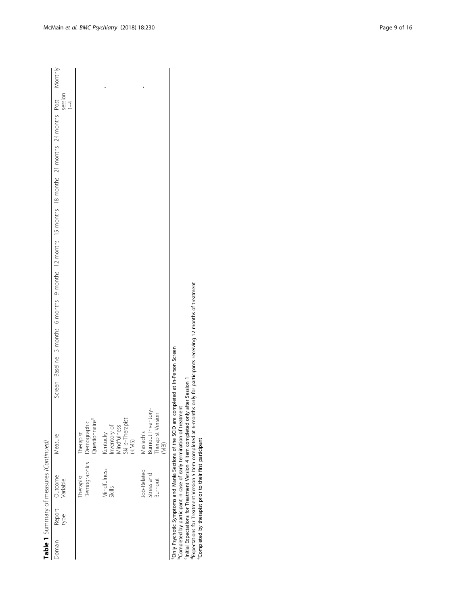|        |      | Table 1 Summary of measures (Continued)     |                                                                       |  |  |  |                                                                                                           |  |                  |  |
|--------|------|---------------------------------------------|-----------------------------------------------------------------------|--|--|--|-----------------------------------------------------------------------------------------------------------|--|------------------|--|
| Domain | type | Report Outcome<br>type Variable             | Measure                                                               |  |  |  | Screen Baseline 3 months 6 months 9 months 12 months 15 months 18 months 21 months 24 months Post Monthly |  | session<br>$1-4$ |  |
|        |      | Therapist                                   | Demographics Demographic<br>Questionnaire <sup>e</sup><br>Therapist   |  |  |  |                                                                                                           |  |                  |  |
|        |      | Vindfulness<br><b>Skills</b>                | Skills-Therapist<br>Inventory of<br>Mindfulness<br>Kentucky<br>(KIMS) |  |  |  |                                                                                                           |  |                  |  |
|        |      | Job-Related<br>Stress and<br><b>Burnout</b> | Burnout Inventory-<br>Therapist Version<br>Maslach's<br>MBI)          |  |  |  |                                                                                                           |  |                  |  |

aOnly Psychotic Symptoms and Mania Sections of the SCID are completed at In-Person Screen

bCompleted by participant in case of early termination of treatment

<sup>3</sup>Only Psychotic Symptoms and Mania Sections of the SCID are completed at In-Person Screen<br><sup>b</sup>Completed by participant in case of early termination of treatment<br><sup>1</sup>Initial Expectations for Treatment Version 4 Item complet dExpectations for Treatment Version 5 Item completed at 6-months only for participants receiving 12 months of treatment cInitial Expectations for Treatment Version 4 Item completed only after Session 1

eCompleted by therapist prior to their first participant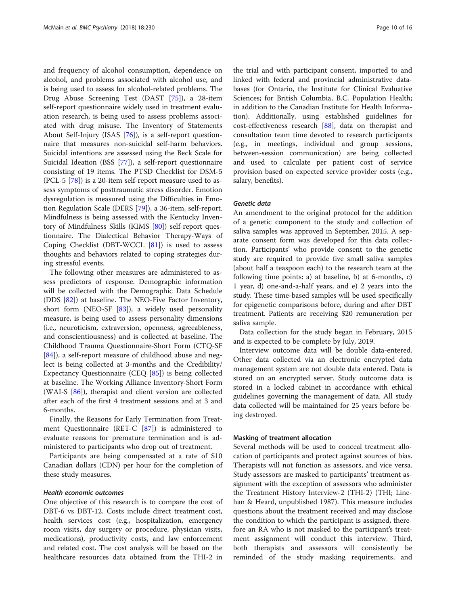and frequency of alcohol consumption, dependence on alcohol, and problems associated with alcohol use, and is being used to assess for alcohol-related problems. The Drug Abuse Screening Test (DAST [[75\]](#page-14-0)), a 28-item self-report questionnaire widely used in treatment evaluation research, is being used to assess problems associated with drug misuse. The Inventory of Statements About Self-Injury (ISAS [\[76\]](#page-14-0)), is a self-report questionnaire that measures non-suicidal self-harm behaviors. Suicidal intentions are assessed using the Beck Scale for Suicidal Ideation (BSS [\[77\]](#page-14-0)), a self-report questionnaire consisting of 19 items. The PTSD Checklist for DSM-5 (PCL-5 [\[78](#page-14-0)]) is a 20-item self-report measure used to assess symptoms of posttraumatic stress disorder. Emotion dysregulation is measured using the Difficulties in Emotion Regulation Scale (DERS [\[79\]](#page-14-0)), a 36-item, self-report. Mindfulness is being assessed with the Kentucky Inventory of Mindfulness Skills (KIMS [[80\]](#page-14-0)) self-report questionnaire. The Dialectical Behavior Therapy-Ways of Coping Checklist (DBT-WCCL [[81\]](#page-14-0)) is used to assess thoughts and behaviors related to coping strategies during stressful events.

The following other measures are administered to assess predictors of response. Demographic information will be collected with the Demographic Data Schedule (DDS [[82\]](#page-14-0)) at baseline. The NEO-Five Factor Inventory, short form (NEO-SF [\[83](#page-14-0)]), a widely used personality measure, is being used to assess personality dimensions (i.e., neuroticism, extraversion, openness, agreeableness, and conscientiousness) and is collected at baseline. The Childhood Trauma Questionnaire-Short Form (CTQ-SF [[84\]](#page-14-0)), a self-report measure of childhood abuse and neglect is being collected at 3-months and the Credibility/ Expectancy Questionnaire (CEQ [\[85](#page-14-0)]) is being collected at baseline. The Working Alliance Inventory-Short Form (WAI-S [[86](#page-14-0)]), therapist and client version are collected after each of the first 4 treatment sessions and at 3 and 6-months.

Finally, the Reasons for Early Termination from Treatment Questionnaire (RET-C [\[87](#page-14-0)]) is administered to evaluate reasons for premature termination and is administered to participants who drop out of treatment.

Participants are being compensated at a rate of \$10 Canadian dollars (CDN) per hour for the completion of these study measures.

#### Health economic outcomes

One objective of this research is to compare the cost of DBT-6 vs DBT-12. Costs include direct treatment cost, health services cost (e.g., hospitalization, emergency room visits, day surgery or procedure, physician visits, medications), productivity costs, and law enforcement and related cost. The cost analysis will be based on the healthcare resources data obtained from the THI-2 in

the trial and with participant consent, imported to and linked with federal and provincial administrative databases (for Ontario, the Institute for Clinical Evaluative Sciences; for British Columbia, B.C. Population Health; in addition to the Canadian Institute for Health Information). Additionally, using established guidelines for cost-effectiveness research [[88](#page-14-0)], data on therapist and consultation team time devoted to research participants (e.g., in meetings, individual and group sessions, between-session communication) are being collected and used to calculate per patient cost of service provision based on expected service provider costs (e.g., salary, benefits).

#### Genetic data

An amendment to the original protocol for the addition of a genetic component to the study and collection of saliva samples was approved in September, 2015. A separate consent form was developed for this data collection. Participants' who provide consent to the genetic study are required to provide five small saliva samples (about half a teaspoon each) to the research team at the following time points: a) at baseline, b) at 6-months, c) 1 year, d) one-and-a-half years, and e) 2 years into the study. These time-based samples will be used specifically for epigenetic comparisons before, during and after DBT treatment. Patients are receiving \$20 remuneration per saliva sample.

Data collection for the study began in February, 2015 and is expected to be complete by July, 2019.

Interview outcome data will be double data-entered. Other data collected via an electronic encrypted data management system are not double data entered. Data is stored on an encrypted server. Study outcome data is stored in a locked cabinet in accordance with ethical guidelines governing the management of data. All study data collected will be maintained for 25 years before being destroyed.

#### Masking of treatment allocation

Several methods will be used to conceal treatment allocation of participants and protect against sources of bias. Therapists will not function as assessors, and vice versa. Study assessors are masked to participants' treatment assignment with the exception of assessors who administer the Treatment History Interview-2 (THI-2) (THI; Linehan & Heard, unpublished 1987). This measure includes questions about the treatment received and may disclose the condition to which the participant is assigned, therefore an RA who is not masked to the participant's treatment assignment will conduct this interview. Third, both therapists and assessors will consistently be reminded of the study masking requirements, and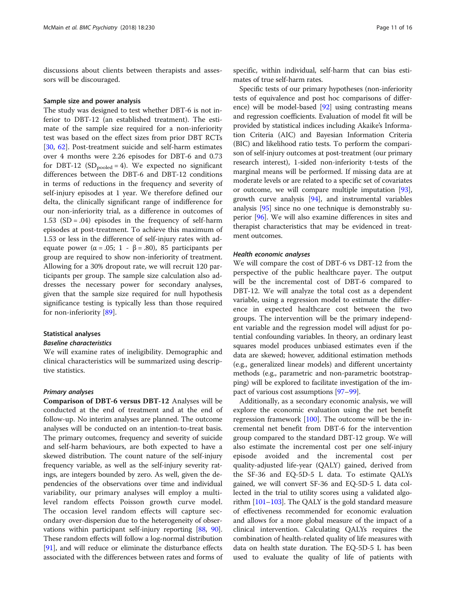discussions about clients between therapists and assessors will be discouraged.

#### Sample size and power analysis

The study was designed to test whether DBT-6 is not inferior to DBT-12 (an established treatment). The estimate of the sample size required for a non-inferiority test was based on the effect sizes from prior DBT RCTs [[30,](#page-13-0) [62](#page-14-0)]. Post-treatment suicide and self-harm estimates over 4 months were 2.26 episodes for DBT-6 and 0.73 for DBT-12 ( $SD_{pooled} = 4$ ). We expected no significant differences between the DBT-6 and DBT-12 conditions in terms of reductions in the frequency and severity of self-injury episodes at 1 year. We therefore defined our delta, the clinically significant range of indifference for our non-inferiority trial, as a difference in outcomes of 1.53  $(SD = .04)$  episodes in the frequency of self-harm episodes at post-treatment. To achieve this maximum of 1.53 or less in the difference of self-injury rates with adequate power ( $\alpha$  = .05; 1 - β = .80), 85 participants per group are required to show non-inferiority of treatment. Allowing for a 30% dropout rate, we will recruit 120 participants per group. The sample size calculation also addresses the necessary power for secondary analyses, given that the sample size required for null hypothesis significance testing is typically less than those required for non-inferiority [\[89](#page-14-0)].

#### Statistical analyses

#### Baseline characteristics

We will examine rates of ineligibility. Demographic and clinical characteristics will be summarized using descriptive statistics.

#### Primary analyses

Comparison of DBT-6 versus DBT-12 Analyses will be conducted at the end of treatment and at the end of follow-up. No interim analyses are planned. The outcome analyses will be conducted on an intention-to-treat basis. The primary outcomes, frequency and severity of suicide and self-harm behaviours, are both expected to have a skewed distribution. The count nature of the self-injury frequency variable, as well as the self-injury severity ratings, are integers bounded by zero. As well, given the dependencies of the observations over time and individual variability, our primary analyses will employ a multilevel random effects Poisson growth curve model. The occasion level random effects will capture secondary over-dispersion due to the heterogeneity of observations within participant self-injury reporting [\[88,](#page-14-0) [90](#page-14-0)]. These random effects will follow a log-normal distribution [[91](#page-14-0)], and will reduce or eliminate the disturbance effects associated with the differences between rates and forms of specific, within individual, self-harm that can bias estimates of true self-harm rates.

Specific tests of our primary hypotheses (non-inferiority tests of equivalence and post hoc comparisons of difference) will be model-based [[92\]](#page-14-0) using contrasting means and regression coefficients. Evaluation of model fit will be provided by statistical indices including Akaike's Information Criteria (AIC) and Bayesian Information Criteria (BIC) and likelihood ratio tests. To perform the comparison of self-injury outcomes at post-treatment (our primary research interest), 1-sided non-inferiority t-tests of the marginal means will be performed. If missing data are at moderate levels or are related to a specific set of covariates or outcome, we will compare multiple imputation [[93](#page-14-0)], growth curve analysis [\[94\]](#page-14-0), and instrumental variables analysis [\[95\]](#page-14-0) since no one technique is demonstrably superior [\[96](#page-15-0)]. We will also examine differences in sites and therapist characteristics that may be evidenced in treatment outcomes.

#### Health economic analyses

We will compare the cost of DBT-6 vs DBT-12 from the perspective of the public healthcare payer. The output will be the incremental cost of DBT-6 compared to DBT-12. We will analyze the total cost as a dependent variable, using a regression model to estimate the difference in expected healthcare cost between the two groups. The intervention will be the primary independent variable and the regression model will adjust for potential confounding variables. In theory, an ordinary least squares model produces unbiased estimates even if the data are skewed; however, additional estimation methods (e.g., generalized linear models) and different uncertainty methods (e.g., parametric and non-parametric bootstrapping) will be explored to facilitate investigation of the impact of various cost assumptions [[97](#page-15-0)–[99\]](#page-15-0).

Additionally, as a secondary economic analysis, we will explore the economic evaluation using the net benefit regression framework [[100](#page-15-0)]. The outcome will be the incremental net benefit from DBT-6 for the intervention group compared to the standard DBT-12 group. We will also estimate the incremental cost per one self-injury episode avoided and the incremental cost per quality-adjusted life-year (QALY) gained, derived from the SF-36 and EQ-5D-5 L data. To estimate QALYs gained, we will convert SF-36 and EQ-5D-5 L data collected in the trial to utility scores using a validated algorithm [\[101](#page-15-0)–[103\]](#page-15-0). The QALY is the gold standard measure of effectiveness recommended for economic evaluation and allows for a more global measure of the impact of a clinical intervention. Calculating QALYs requires the combination of health-related quality of life measures with data on health state duration. The EQ-5D-5 L has been used to evaluate the quality of life of patients with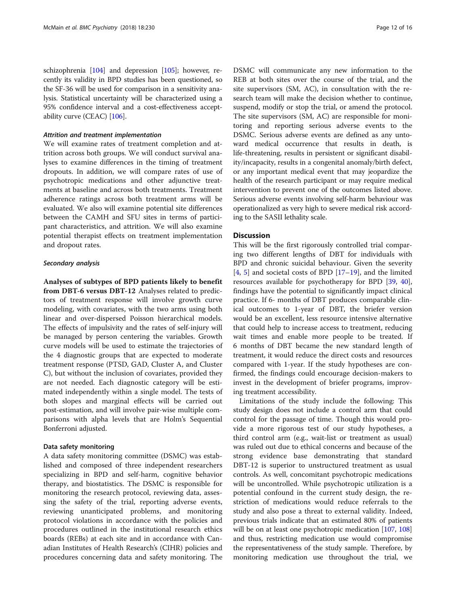schizophrenia [\[104\]](#page-15-0) and depression [\[105](#page-15-0)]; however, recently its validity in BPD studies has been questioned, so the SF-36 will be used for comparison in a sensitivity analysis. Statistical uncertainty will be characterized using a 95% confidence interval and a cost-effectiveness acceptability curve (CEAC) [[106](#page-15-0)].

#### Attrition and treatment implementation

We will examine rates of treatment completion and attrition across both groups. We will conduct survival analyses to examine differences in the timing of treatment dropouts. In addition, we will compare rates of use of psychotropic medications and other adjunctive treatments at baseline and across both treatments. Treatment adherence ratings across both treatment arms will be evaluated. We also will examine potential site differences between the CAMH and SFU sites in terms of participant characteristics, and attrition. We will also examine potential therapist effects on treatment implementation and dropout rates.

#### Secondary analysis

Analyses of subtypes of BPD patients likely to benefit from DBT-6 versus DBT-12 Analyses related to predictors of treatment response will involve growth curve modeling, with covariates, with the two arms using both linear and over-dispersed Poisson hierarchical models. The effects of impulsivity and the rates of self-injury will be managed by person centering the variables. Growth curve models will be used to estimate the trajectories of the 4 diagnostic groups that are expected to moderate treatment response (PTSD, GAD, Cluster A, and Cluster C), but without the inclusion of covariates, provided they are not needed. Each diagnostic category will be estimated independently within a single model. The tests of both slopes and marginal effects will be carried out post-estimation, and will involve pair-wise multiple comparisons with alpha levels that are Holm's Sequential Bonferroni adjusted.

#### Data safety monitoring

A data safety monitoring committee (DSMC) was established and composed of three independent researchers specializing in BPD and self-harm, cognitive behavior therapy, and biostatistics. The DSMC is responsible for monitoring the research protocol, reviewing data, assessing the safety of the trial, reporting adverse events, reviewing unanticipated problems, and monitoring protocol violations in accordance with the policies and procedures outlined in the institutional research ethics boards (REBs) at each site and in accordance with Canadian Institutes of Health Research's (CIHR) policies and procedures concerning data and safety monitoring. The DSMC will communicate any new information to the REB at both sites over the course of the trial, and the site supervisors (SM, AC), in consultation with the research team will make the decision whether to continue, suspend, modify or stop the trial, or amend the protocol. The site supervisors (SM, AC) are responsible for monitoring and reporting serious adverse events to the DSMC. Serious adverse events are defined as any untoward medical occurrence that results in death, is life-threatening, results in persistent or significant disability/incapacity, results in a congenital anomaly/birth defect, or any important medical event that may jeopardize the health of the research participant or may require medical intervention to prevent one of the outcomes listed above. Serious adverse events involving self-harm behaviour was operationalized as very high to severe medical risk according to the SASII lethality scale.

#### **Discussion**

This will be the first rigorously controlled trial comparing two different lengths of DBT for individuals with BPD and chronic suicidal behaviour. Given the severity  $[4, 5]$  $[4, 5]$  $[4, 5]$  $[4, 5]$  $[4, 5]$  and societal costs of BPD  $[17–19]$  $[17–19]$  $[17–19]$ , and the limited resources available for psychotherapy for BPD [\[39](#page-13-0), [40](#page-13-0)], findings have the potential to significantly impact clinical practice. If 6- months of DBT produces comparable clinical outcomes to 1-year of DBT, the briefer version would be an excellent, less resource intensive alternative that could help to increase access to treatment, reducing wait times and enable more people to be treated. If 6 months of DBT became the new standard length of treatment, it would reduce the direct costs and resources compared with 1-year. If the study hypotheses are confirmed, the findings could encourage decision-makers to invest in the development of briefer programs, improving treatment accessibility.

Limitations of the study include the following: This study design does not include a control arm that could control for the passage of time. Though this would provide a more rigorous test of our study hypotheses, a third control arm (e.g., wait-list or treatment as usual) was ruled out due to ethical concerns and because of the strong evidence base demonstrating that standard DBT-12 is superior to unstructured treatment as usual controls. As well, concomitant psychotropic medications will be uncontrolled. While psychotropic utilization is a potential confound in the current study design, the restriction of medications would reduce referrals to the study and also pose a threat to external validity. Indeed, previous trials indicate that an estimated 80% of patients will be on at least one psychotropic medication [\[107,](#page-15-0) [108](#page-15-0)] and thus, restricting medication use would compromise the representativeness of the study sample. Therefore, by monitoring medication use throughout the trial, we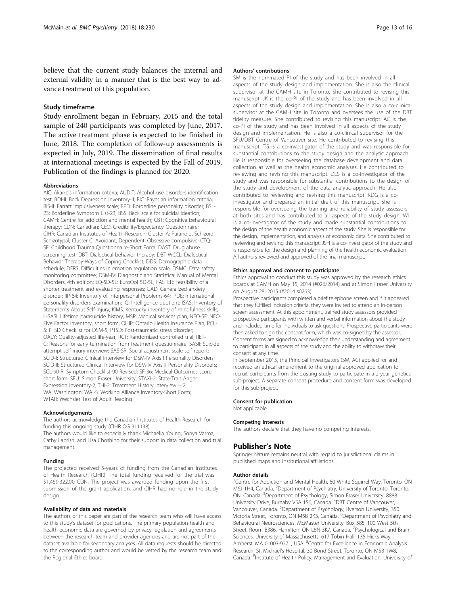believe that the current study balances the internal and external validity in a manner that is the best way to advance treatment of this population.

#### Study timeframe

Study enrollment began in February, 2015 and the total sample of 240 participants was completed by June, 2017. The active treatment phase is expected to be finished in June, 2018. The completion of follow-up assessments is expected in July, 2019. The dissemination of final results at international meetings is expected by the Fall of 2019. Publication of the findings is planned for 2020.

#### Abbreviations

AIC: Akaike's information criteria; AUDIT: Alcohol use disorders identification test; BDI-II: Beck Depression Inventory-II; BIC: Bayesian information criteria; BIS-II: Barratt impulsiveness scale; BPD: Borderline personality disorder; BSL-23: Borderline Symptom List-23; BSS: Beck scale for suicidal ideation; CAMH: Centre for addiction and mental health; CBT: Cognitive behavioural therapy; CDN: Canadian; CEQ: Credibility/Expectancy Questionnaire; CIHR: Canadian Institutes of Health Research; Cluster A: Paranoid, Schizoid, Schizotypal; Cluster C: Avoidant, Dependent; Obsessive compulsive; CTQ-SF: Childhood Trauma Questionnaire-Short Form; DAST: Drug abuse screening test; DBT: Dialectical behavior therapy; DBT-WCCL: Dialectical Behavior Therapy-Ways of Coping Checklist; DDS: Demographic data schedule; DERS: Difficulties in emotion regulation scale; DSMC: Data safety monitoring committee; DSM-IV: Diagnostic and Statistical Manual of Mental Disorders, 4th edition; EQ-5D-5L: EuroQol 5D-5L; FASTER: Feasibility of a shorter treatment and evaluating responses; GAD: Generalized anxiety disorder; IIP-64: Inventory of Interpersonal Problems-64; IPDE: International personality disorders examination; IQ: Intelligence quotient; ISAS: Inventory of Statements About Self-Injury; KIMS: Kentucky inventory of mindfulness skills; L-SASI: Lifetime parasuicide history; MSP: Medical services plan; NEO-SF: NEO-Five Factor Inventory, short form; OHIP: Ontario Health Insurance Plan; PCL-5: PTSD Checklist for DSM-5; PTSD: Post-traumatic stress disorder; QALY: Quality-adjusted life-year; RCT: Randomized controlled trial; RET-C: Reasons for early termination from treatment questionnaire; SASII: Suicide attempt self-injury interview; SAS-SR: Social adjustment scale-self report; SCID-I: Structured Clinical Interview for DSM-IV Axis I Personality Disorders; SCID-II: Structured Clinical Interview for DSM-IV Axis II Personality Disorders; SCL-90-R: Symptom Checklist-90 Revised; SF-36: Medical Outcomes score short form; SFU: Simon Fraser University; STAXI-2: State-Trait Anger Expression Inventory-2; THI-2: Treatment History Interview − 2; WA: Washington; WAI-S: Working Alliance Inventory-Short Form; WTAR: Wechsler Test of Adult Reading

#### Acknowledgements

The authors acknowledge the Canadian Institutes of Health Research for funding this ongoing study (CIHR OG 311138).

The authors would like to especially thank Michaelia Young, Sonya Varma, Cathy Labrish, and Lisa Choshino for their support in data collection and trial management.

#### Funding

The projected received 5-years of funding from the Canadian Institutes of Health Research (CIHR). The total funding received for the trial was \$1,459,322.00 CDN. The project was awarded funding upon the first submission of the grant application, and CIHR had no role in the study design.

#### Availability of data and materials

The authors of this paper are part of the research team who will have access to this study's dataset for publications. The primary population health and health economic data are governed by privacy legislation and agreements between the research team and provider agencies and are not part of the dataset available for secondary analyses. All data requests should be directed to the corresponding author and would be vetted by the research team and the Regional Ethics board.

#### Authors' contributions

SM is the nominated PI of the study and has been involved in all aspects of the study design and implementation. She is also the clinical supervisor at the CAMH site in Toronto. She contributed to revising this manuscript. JK is the co-PI of the study and has been involved in all aspects of the study design and implementation. She is also a co-clinical supervisor at the CAMH site in Toronto and oversees the use of the DBT fidelity measure. She contributed to revising this manuscript. AC is the co-PI of the study and has been involved in all aspects of the study design and implementation. He is also a co-clinical supervisor for the SFU/DBT Centre of Vancouver site. He contributed to revising this manuscript. TG is a co-investigator of the study and was responsible for substantial contributions to the study design and the analytic approach. He is responsible for overseeing the database development and data collection as well as the health economic analyses. He contributed to reviewing and revising this manuscript. DLS is a co-investigator of the study and was responsible for substantial contributions to the design of the study and development of the data analytic approach. He also contributed to reviewing and revising this manuscript. KDG is a coinvestigator and prepared an initial draft of this manuscript. She is responsible for overseeing the training and reliability of study assessors at both sites and has contributed to all aspects of the study design. WI is a co-investigator of the study and made substantial contributions to the design of the health economic aspect of the study. She is responsible for the design, implementation, and analysis of economic data. She contributed to reviewing and revising this manuscript. JSH is a co-investigator of the study and is responsible for the design and planning of the health economic evaluation. All authors reviewed and approved of the final manuscript.

#### Ethics approval and consent to participate

Ethics approval to conduct this study was approved by the research ethics boards at CAMH on May 15, 2014 (#026/2014) and at Simon Fraser University on August 28, 2015 (#2014 s0263).

Prospective participants completed a brief telephone screen and if it appeared that they fulfilled inclusion criteria, they were invited to attend an in-person screen assessment. At this appointment, trained study assessors provided prospective participants with written and verbal information about the study and included time for individuals to ask questions. Prospective participants were then asked to sign the consent form, which was co-signed by the assessor. Consent forms are signed to acknowledge their understanding and agreement to participant in all aspects of the study and the ability to withdraw their consent at any time.

In September 2015, the Principal Investigators (SM, AC) applied for and received an ethical amendment to the original approved application to recruit participants from the existing study to participate in a 2 year genetics sub-project. A separate consent procedure and consent form was developed for this sub-project.

#### Consent for publication

Not applicable.

#### Competing interests

The authors declare that they have no competing interests.

#### Publisher's Note

Springer Nature remains neutral with regard to jurisdictional claims in published maps and institutional affiliations.

#### Author details

<sup>1</sup> Centre for Addiction and Mental Health, 60 White Squirrel Way, Toronto, ON M6J 1H4, Canada. <sup>2</sup>Department of Psychiatry, University of Toronto, Toronto, ON, Canada. <sup>3</sup>Department of Psychology, Simon Fraser University, 8888 University Drive, Burnaby V5A 1S6, Canada. <sup>4</sup>DBT Centre of Vancouver Vancouver, Canada. <sup>5</sup>Department of Psychology, Ryerson University, 350 Victoria Street, Toronto, ON M5B 2K3, Canada. <sup>6</sup>Department of Psychiatry and Behavioural Neurosciences, McMaster University, Box 585, 100 West 5th Street, Room B386, Hamilton, ON L8N 3K7, Canada. <sup>7</sup>Psychological and Brain Sciences, University of Massachusetts, 617 Tobin Hall, 135 Hicks Way, Amherst, MA 01003-9271, USA. <sup>8</sup>Centre for Excellence in Economic Analysis Research, St. Michael's Hospital, 30 Bond Street, Toronto, ON M5B 1W8, Canada. <sup>9</sup>Institute of Health Policy, Management and Evaluation, University of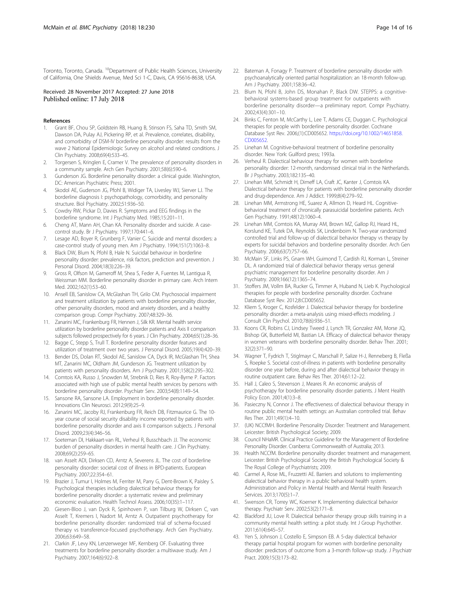<span id="page-13-0"></span>Toronto, Toronto, Canada. <sup>10</sup>Department of Public Health Sciences, University of California, One Shields Avenue, Med Sci 1-C, Davis, CA 95616-8638, USA.

#### Received: 28 November 2017 Accepted: 27 June 2018 Published online: 17 July 2018

#### References

- 1. Grant BF, Chou SP, Goldstein RB, Huang B, Stinson FS, Saha TD, Smith SM, Dawson DA, Pulay AJ, Pickering RP, et al. Prevalence, correlates, disability, and comorbidity of DSM-IV borderline personality disorder: results from the wave 2 National Epidemiologic Survey on alcohol and related conditions. J Clin Psychiatry. 2008;69(4):533–45.
- 2. Torgersen S, Kringlen E, Cramer V. The prevalence of personality disorders in a community sample. Arch Gen Psychiatry. 2001;58(6):590–6.
- 3. Gunderson JG. Borderline personality disorder: a clinical guide. Washington, DC: American Psychiatric Press; 2001.
- 4. Skodol AE, Guderson JG, Pfohl B, Widiger TA, Livesley WJ, Sierver LJ. The borderline diagnosis I: psychopathology, comorbidity, and personality structure. Biol Psychiatry. 2002;51:936–50.
- 5. Cowdry RW, Pickar D, Davies R. Symptoms and EEG findings in the borderline syndrome. Int J Psychiatry Med. 1985;15:201–11.
- 6. Cheng AT, Mann AH, Chan KA. Personality disorder and suicide. A casecontrol study. Br J Psychiatry. 1997;170:441–6.
- 7. Lesage AD, Boyer R, Grunberg F, Vanier C. Suicide and mental disorders: a case-control study of young men. Am J Psychiatry. 1994;151(7):1063–8.
- 8. Black DW, Blum N, Pfohl B, Hale N. Suicidal behaviour in borderline personality disorder: prevalence, risk factors, prediction and prevention. J Personal Disord. 2004;18(3):226–39.
- Gross R, Olfson M, Gameroff M, Shea S, Feder A, Fuentes M, Lantigua R, Weissman MM. Borderline personality disorder in primary care. Arch Intern Med. 2002;162(1):53–60.
- 10. Ansell EB, Sanislow CA, McGlashan TH, Grilo CM. Psychosocial impairment and treatment utilization by patients with borderline personality disorder, other personality disorders, mood and anxiety disorders, and a healthy comparison group. Compr Psychiatry. 2007;48:329–36.
- 11. Zanarini MC, Frankenburg FR, Hennen J, Silk KR. Mental health service utilization by borderline personality disorder patients and Axis II comparison subjects followed prospectively for 6 years. J Clin Psychiatry. 2004;65(1):28–36.
- 12. Bagge C, Stepp S, Trull T. Borderline personality disorder features and utilization of treatment over two years. J Personal Disord. 2005;19(4):420–39.
- 13. Bender DS, Dolan RT, Skodol AE, Sanislow CA, Dyck IR, McGlashan TH, Shea MT, Zanarini MC, Oldham JM, Gunderson JG. Treatment utilization by patients with personality disorders. Am J Psychiatry. 2001;158(2):295–302.
- 14. Comtois KA, Russo J, Snowden M, Strebnik D, Ries R, Roy-Byrne P. Factors associated with high use of public mental health services by persons with borderline personality disorder. Psychiatr Serv. 2003;54(8):1149–54.
- 15. Sansone RA, Sansone LA. Employment in borderline personality disorder. Innovations Clin Neurosci. 2012;9(9):25–9.
- 16. Zanarini MC, Jacoby RJ, Frankenburg FR, Reich DB, Fitzmaurice G. The 10 year course of social security disability income reported by patients with borderline personality disorder and axis II comparison subjects. J Personal Disord. 2009;23(4):346–56.
- 17. Soeteman DI, Hakkaart-van RL, Verheul R, Busschbach JJ. The economic burden of personality disorders in mental health care. J Clin Psychiatry. 2008;69(2):259–65.
- 18. van Asselt ADI, Dirksen CD, Arntz A, Severens JL. The cost of borderline personality disorder: societal cost of illness in BPD-patients. European Psychiatry. 2007;22:354–61.
- 19. Brazier J, Tumur I, Holmes M, Ferriter M, Parry G, Dent-Brown K, Paisley S. Psychological therapies including dialectical behaviour therapy for borderline personality disorder: a systematic review and preliminary economic evaluation. Health Technol Assess. 2006;10(35):1–117.
- 20. Giesen-Bloo J, van Dyck R, Spinhoven P, van Tilburg W, Dirksen C, van Asselt T, Kremers I, Nadort M, Arntz A. Outpatient psychotherapy for borderline personality disorder: randomized trial of schema-focused therapy vs transference-focused psychotherapy. Arch Gen Psychiatry. 2006;63:649–58.
- 21. Clarkin JF, Levy KN, Lenzenweger MF, Kernberg OF. Evaluating three treatments for borderline personality disorder: a multiwave study. Am J Psychiatry. 2007;164(6):922–8.
- 22. Bateman A, Fonagy P. Treatment of borderline personality disorder with psychoanalytically oriented partial hospitalization: an 18-month follow-up. Am J Psychiatry. 2001;158:36–42.
- 23. Blum N, Pfohl B, John DS, Monahan P, Black DW. STEPPS: a cognitivebehavioral systems-based group treatment for outpatients with borderline personality disorder—a preliminary report. Compr Psychiatry. 2002;43(4):301–10.
- 24. Binks C, Fenton M, McCarthy L, Lee T, Adams CE, Duggan C. Psychological therapies for people with borderline personality disorder. Cochrane Database Syst Rev. 2006;(1):CD005652. [https://doi.org/10.1002/14651858.](https://doi.org/10.1002/14651858.CD005652) [CD005652.](https://doi.org/10.1002/14651858.CD005652)
- 25. Linehan M. Cognitive-behavioral treatment of borderline personality disorder. New York: Guilford press; 1993a.
- 26. Verheul R. Dialectical behaviour therapy for women with borderline personality disorder: 12-month, randomised clinical trial in the Netherlands. Br J Psychiatry. 2003;182:135–40.
- 27. Linehan MM, Schmidt H, Dimeff LA, Craft JC, Kanter J, Comtois KA. Dialectical behavior therapy for patients with borderline personality disorder and drug-dependence. Am J Addict. 1999;8(4):279–92.
- 28. Linehan MM, Armstrong HE, Suarez A, Allmon D, Heard HL. Cognitivebehavioral treatment of chronically parasuicidal borderline patients. Arch Gen Psychiatry. 1991;48(12):1060–4.
- 29. Linehan MM, Comtois KA, Murray AM, Brown MZ, Gallop RJ, Heard HL, Korslund KE, Tutek DA, Reynolds SK, Lindenboim N. Two-year randomized controlled trial and follow-up of dialectical behavior therapy vs therapy by experts for suicidal behaviors and borderline personality disorder. Arch Gen Psychiatry. 2006;63(7):757–66.
- 30. McMain SF, Links PS, Gnam WH, Guimond T, Cardish RJ, Korman L, Streiner DL. A randomized trial of dialectical behavior therapy versus general psychiatric management for borderline personality disorder. Am J Psychiatry. 2009;166(12):1365–74.
- 31. Stoffers JM, Vollm BA, Rucker G, Timmer A, Huband N, Lieb K. Psychological therapies for people with borderline personality disorder. Cochrane Database Syst Rev. 2012;8:CD005652.
- 32. Kliem S, Kroger C, Kosfelder J. Dialectical behavior therapy for borderline personality disorder: a meta-analysis using mixed-effects modeling. J Consult Clin Psychol. 2010;78(6):936–51.
- 33. Koons CR, Robins CJ, Lindsey Tweed J, Lynch TR, Gonzalez AM, Morse JQ, Bishop GK, Butterfield MI, Bastian LA. Efficacy of dialectical behavior therapy in women veterans with borderline personality disorder. Behav Ther. 2001; 32(2):371–90.
- 34. Wagner T, Fydrich T, Stiglmayr C, Marschall P, Salize H-J, Renneberg B, Fleßa S, Roepke S. Societal cost-of-illness in patients with borderline personality disorder one year before, during and after dialectical behavior therapy in routine outpatient care. Behav Res Ther. 2014;61:12–22.
- 35. Hall J, Caleo S, Stevenson J, Meares R. An economic analysis of psychotherapy for borderline personality disorder patients. J Ment Health Policy Econ. 2001;4(1):3–8.
- 36. Pasieczny N, Connor J. The effectiveness of dialectical behaviour therapy in routine public mental health settings: an Australian controlled trial. Behav Res Ther. 2011;49(1):4–10.
- 37. (UK) NCCfMH. Borderline Personality Disorder: Treatment and Management. Leicester: British Psychological Society; 2009.
- Council NHaMR. Clinical Practice Guideline for the Management of Borderline Personality Disorder. Cranberra: Commonwealth of Australia; 2013.
- 39. Health NCCfM. Borderline personality disorder: treatment and management. Leicester: British Psychological Society the British Psychological Society & The Royal College of Psychiatrists; 2009.
- 40. Carmel A, Rose ML, Fruzzetti AE. Barriers and solutions to implementing dialectical behavior therapy in a public behavioral health system. Administration and Policy in Mental Health and Mental Health Research Services. 2013;170(5):1–7.
- 41. Swenson CR, Torrey WC, Koerner K. Implementing dialectical behavior therapy. Psychiatr Serv. 2002;53(2):171–8.
- 42. Blackford JU, Love R. Dialectical behavior therapy group skills training in a community mental health setting: a pilot study. Int J Group Psychother. 2011;61(4):645–57.
- 43. Yen S, Johnson J, Costello E, Simpson EB. A 5-day dialectical behavior therapy partial hospital program for women with borderline personality disorder: predictors of outcome from a 3-month follow-up study. J Psychiatr Pract. 2009;15(3):173–82.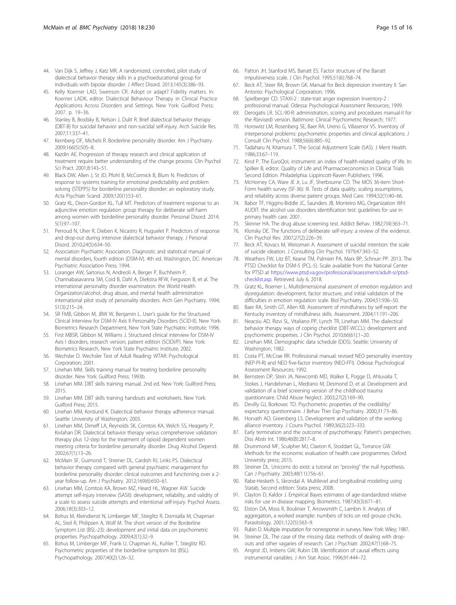- <span id="page-14-0"></span>44. Van Dijk S, Jeffrey J, Katz MR. A randomized, controlled, pilot study of dialectical behavior therapy skills in a psychoeducational group for individuals with bipolar disorder. J Affect Disord. 2013;145(3):386–93.
- 45. Kelly Koerner LAD, Swenson CR. Adopt or adapt? Fidelity matters. In: Koerner LADK, editor. Dialectical Behaviour Therapy in Clinical Practice Applications Across Disorders and Settings. New York: Guilford Press; 2007. p. 19–36.
- 46. Stanley B, Brodsky B, Nelson J, Dulit R. Brief dialectical behavior therapy (DBT-B) for suicidal behavior and non-suicidal self-injury. Arch Suicide Res. 2007;11:337–41.
- 47. Kernberg OF, Michels R. Borderline personality disorder. Am J Psychiatry. 2009;166(5):505–8.
- 48. Kazdin AE. Progression of therapy research and clinical application of treatment require better understanding of the change process. Clin Psychol Sci Pract. 2001;8:143–51.
- 49. Black DW, Allen J, St JD, Pfohl B, McCormick B, Blum N. Predictors of response to systems training for emotional predictability and problem solving (STEPPS) for borderline personality disorder: an exploratory study. Acta Psychiatr Scand. 2009;120(1):53–61.
- 50. Gratz KL, Dixon-Gordon KL, Tull MT. Predictors of treatment response to an adjunctive emotion regulation group therapy for deliberate self-harm among women with borderline personality disorder. Personal Disord. 2014; 5(1):97–107.
- 51. Perroud N, Uher R, Dieben K, Nicastro R, Huguelet P. Predictors of response and drop-out during intensive dialectical behavior therapy. J Personal Disord. 2010;24(5):634–50.
- 52. Association Psychiatric Association. Diagnostic and statistical manual of mental disorders, fourth edition (DSM-IV). 4th ed. Washington, DC: American Psychiatric Association Press; 1994.
- 53. Loranger AW, Sartorius N, Andreoli A, Berger P, Buchheim P, Channabasavanna SM, Coid B, Dahl A, Diekstra RFW, Ferguson B, et al. The international personality disorder examination: the World Health Organization/alcohol, drug abuse, and mental health administration international pilot study of personality disorders. Arch Gen Psychiatry. 1994; 51(3):215–24.
- 54. SR FMB, Gibbon M, JBW W, Benjamin L. User's guide for the Structured Clinical Interview for DSM-IV Axis II Personality Disorders (SCID-II). New York: Biometrics Research Department, New York State Psychiatric Institute; 1996.
- 55. First MBSR, Gibbon M, Williams J. Structured clinical interview for DSM-IV Axis I disorders, research version, patient edition (SCIDI/P). New York: Biometrics Research, New York State Psychiatric Institute; 2002.
- 56. Wechsler D. Wechsler Test of Adult Reading: WTAR: Psychological Corporation; 2001.
- 57. Linehan MM. Skills training manual for treating borderline personality disorder. New York: Guilford Press; 1993b.
- 58. Linehan MM. DBT skills training manual. 2nd ed. New York: Guilford Press; 2015.
- 59. Linehan MM. DBT skills training handouts and worksheets. New York: Guilford Press; 2015.
- 60. Linehan MM, Korslund K. Dialectical behavior therapy adherence manual. Seattle: University of Washington; 2003.
- 61. Linehan MM, Dimeff LA, Reynolds SK, Comtois KA, Welch SS, Heagerty P, Kivlahan DR. Dialectical behavior therapy versus comprehensive validation therapy plus 12-step for the treatment of opioid dependent women meeting criteria for borderline personality disorder. Drug Alcohol Depend. 2002;67(1):13–26.
- 62. McMain SF, Guimond T, Streiner DL, Cardish RJ, Links PS. Dialectical behavior therapy compared with general psychiatric management for borderline personality disorder: clinical outcomes and functioning over a 2 year follow-up. Am J Psychiatry. 2012;169(6):650–61.
- 63. Linehan MM, Comtois KA, Brown MZ, Heard HL, Wagner AW. Suicide attempt self-injury interview (SASII): development, reliability, and validity of a scale to assess suicide attempts and intentional self-injury. Psychol Assess. 2006;18(3):303–12.
- 64. Bohus M, Kleindienst N, Limberger MF, Stieglitz R, Domsalla M, Chapman AL, Steil R, Philipsen A, Wolf M. The short version of the Borderline Symptom List (BSL-23): development and initial data on psychometric properties. Psychopathology. 2009;42(1):32–9.
- 65. Bohus M, Limberger MF, Frank U, Chapman AL, Kuhler T, Stieglitz RD. Psychometric properties of the borderline symptom list (BSL). Psychopathology. 2007;40(2):126–32.
- 66. Patton JH, Stanford MS, Barratt ES. Factor structure of the Barratt impulsiveness scale. J Clin Psychol. 1995;51(6):768–74.
- 67. Beck AT, Steer RA, Brown GK. Manual for Beck depression inventory II. San Antonio: Psychological Corporation; 1996.
- 68. Spielberger CD. STAXI-2 : state-trait anger expression Inventory-2 : professional manual. Odessa: Psychological Assessment Resources; 1999.
- 69. Derogatis LR. SCL-90-R: administration, scoring and procedures manual-II for the R(evised) version. Baltimore: Clinical Psychometric Research; 1977.
- 70. Horowitz LM, Rosenberg SE, Baer RA, Ureno G, Villasenor VS. Inventory of interpersonal problems: psychometric properties and clinical applications. J Consult Clin Psychol. 1988;56(6):885–92.
- 71. Tadaharu N, Kitamura T. The Social Adjustment Scale (SAS). J Ment Health. 1986;33:67–119.
- 72. Kind P. The EuroQoL instrument: an index of health-related quality of life. In: Spilker B, editor. Quality of Life and Pharmacoeconomics in Clinical Trials Second Edition. Philadelphia: Lippincott-Raven Publishers; 1996.
- 73. McHorney CA, Ware JE Jr, Lu JF, Sherbourne CD. The MOS 36-item Short-Form health survey (SF-36): III. Tests of data quality, scaling assumptions, and reliability across diverse patient groups. Med Care. 1994;32(1):40–66.
- 74. Babor TF, Higgins-Biddle JC, Saunders JB, Monteiro MG, Organization WH: AUDIT: the alcohol use disorders identification test: guidelines for use in primary health care. 2001.
- 75. Skinner HA. The drug abuse screening test. Addict Behav. 1982;7(4):363–71.
- 76. Klonsky DE. The functions of deliberate self-injury: a review of the evidence. Clin Psychol Rev. 2007;27(2):226–39.
- 77. Beck AT, Kovacs M, Weissman A. Assessment of suicidal intention: the scale of suicide ideation. J Consulting Clin Psychol. 1979;47:343–52.
- 78. Weathers FW, Litz BT, Keane TM, Palmieri PA, Marx BP, Schnurr PP. 2013. The PTSD Checklist for DSM-5 (PCL-5). Scale available from the National Center for PTSD at [https://www.ptsd.va.gov/professional/assessment/adult-sr/ptsd](https://www.ptsd.va.gov/professional/assessment/adult-sr/ptsd-checklist.asp)[checklist.asp.](https://www.ptsd.va.gov/professional/assessment/adult-sr/ptsd-checklist.asp) Retrieved July 6, 2018.
- 79. Gratz KL, Roemer L. Multidimensional assessment of emotion regulation and dysregulation: development, factor structure, and initial validation of the difficulties in emotion regulation scale. Biol Psychiatry. 2004;51:936–50.
- 80. Baer RA, Smith GT, Allen KB. Assessment of mindfulness by self-report: the Kentucky inventory of mindfulness skills. Assessment. 2004;11:191–206.
- 81. Neacsiu AD, Rizvi SL, Vitaliano PP, Lynch TR, Linehan MM. The dialectical behavior therapy ways of coping checklist (DBT-WCCL): development and psychometric properties. J Clin Psychol. 2010;66(61):1–20.
- 82. Linehan MM. Demographic data schedule (DDS). Seattle: University of Washington; 1982.
- 83. Costa PT, McCrae RR. Professional manual: revised NEO personality inventory (NEP-PI-R) and NEO five-factor inventory (NEO-FFI). Odessa: Psychological Assessment Resources; 1992.
- 84. Bernstein DP, Stein JA, Newcomb MD, Walker E, Pogge D, Ahluvalia T, Stokes J, Handelsman L, Medrano M, Desmond D, et al. Development and validation of a brief screening version of the childhood trauma questionnaire. Child Abuse Neglect. 2003;27(2):169–90.
- 85. Devilly GJ, Borkovec TD. Psychometric properties of the credibility/ expectancy questionnaire. J Behav Ther Exp Psychiatry. 2000;31:73–86.
- 86. Horvath AO, Greenberg LS. Development and validation of the working alliance inventory. J Couns Psychol. 1989;36(2):223–333.
- 87. Early termination and the outcome of psychotherapy: Patient's perspectives. Diss Abstr Int. 1986;46(B):2817–8.
- 88. Drummond MF, Sculpher MJ, Claxton K, Stoddart GL, Torrance GW. Methods for the economic evaluation of health care programmes: Oxford University press; 2015.
- 89. Streiner DL. Unicorns do exist: a tutorial on "proving" the null hypothesis. Can J Psychiatry. 2003;48(11):756–61.
- 90. Rabe-Hesketh S, Skrondal A. Multilevel and longitudinal modeling using Statab, Second edition: Stata press; 2008.
- 91. Clayton D, Kaldor J. Empirical Bayes estimates of age-standardized relative risks for use in disease mapping. Biometrics. 1987;43(3):671–81.
- 92. Elston DA, Moss R, Boulinier T, Arrowsmith C, Lambin X. Analysis of aggregation, a worked example: numbers of ticks on red grouse chicks. Parasitology. 2001;122(5):563–9.
- 93. Rubin D. Multiple imputation for nonresponse in surveys. New York: Wiley; 1987.
- Streiner DL. The case of the missing data: methods of dealing with dropouts and other vagaries of research. Can J Psychiatr. 2002;47(1):68–75.
- 95. Angrist JD, Imbens GW, Rubin DB. Identification of causal effects using instrumental variables. J Am Stat Assoc. 1996;91:444–72.